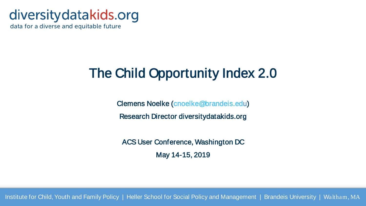## diversity datakids.org

data for a diverse and equitable future

## The Child Opportunity Index 2.0

Clemens Noelke [\(cnoelke@brandeis.edu](mailto:cnoelke@brandeis.edu))

Research Director diversitydatakids.org

ACS User Conference, Washington DC May 14-15, 2019

Institute for Child, Youth and Family Policy | Heller School for Social Policy and Management | Brandeis University | Waltham, MA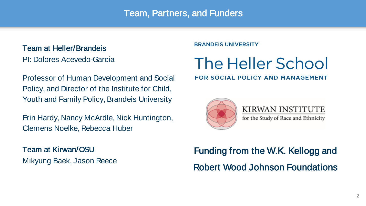### Team, Partners, and Funders

#### Team at Heller/Brandeis

PI: Dolores Acevedo-Garcia

Professor of Human Development and Social Policy, and Director of the Institute for Child, Youth and Family Policy, Brandeis University

Erin Hardy, Nancy McArdle, Nick Huntington, Clemens Noelke, Rebecca Huber

Team at Kirwan/OSU Mikyung Baek, Jason Reece **BRANDEIS UNIVERSITY** 

# The Heller School

#### **FOR SOCIAL POLICY AND MANAGEMENT**



KIRWAN INSTITUTE for the Study of Race and Ethnicity

## Funding from the W.K. Kellogg and Robert Wood Johnson Foundations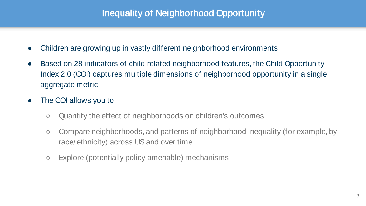### Inequality of Neighborhood Opportunity

- Children are growing up in vastly different neighborhood environments
- Based on 28 indicators of child-related neighborhood features, the Child Opportunity Index 2.0 (COI) captures multiple dimensions of neighborhood opportunity in a single aggregate metric
- The COI allows you to
	- Quantify the effect of neighborhoods on children's outcomes
	- Compare neighborhoods, and patterns of neighborhood inequality (for example, by race/ethnicity) across US and over time
	- Explore (potentially policy-amenable) mechanisms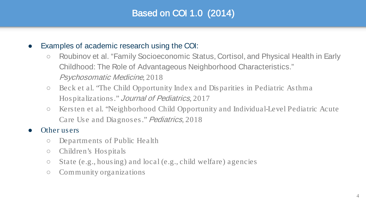### Based on COI 1.0 (2014)

#### • Examples of academic research using the COI:

- Roubinov et al. "Family Socioeconomic Status, Cortisol, and Physical Health in Early Childhood: The Role of Advantageous Neighborhood Characteristics." Psychosomatic Medicine, 2018
- Beck et al. "The Child Opportunity Index and Disparities in Pediatric Asthma Hospitalizations." Journal of Pediatrics, 2017
- Kersten et al. "Neighborhood Child Opportunity and Individual-Level Pediatric Acute Care Use and Diagnoses." Pediatrics, 2018

#### Other users

- Departments of Public Health
- Children's Hospitals
- State (e.g., housing) and local (e.g., child welfare) agencies
- Community organizations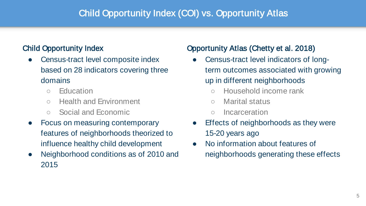### Child Opportunity Index (COI) vs. Opportunity Atlas

### Child Opportunity Index

- Census-tract level composite index based on 28 indicators covering three domains
	- Education
	- Health and Environment
	- Social and Economic
- Focus on measuring contemporary features of neighborhoods theorized to influence healthy child development
- Neighborhood conditions as of 2010 and 2015

### Opportunity Atlas (Chetty et al. 2018)

- Census-tract level indicators of longterm outcomes associated with growing up in different neighborhoods
	- Household income rank
	- Marital status
	- Incarceration
- Effects of neighborhoods as they were 15-20 years ago
- No information about features of neighborhoods generating these effects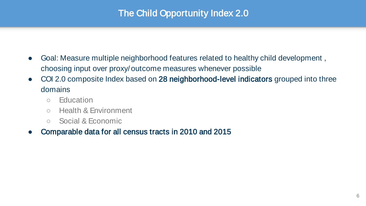### The Child Opportunity Index 2.0

- Goal: Measure multiple neighborhood features related to healthy child development, choosing input over proxy/outcome measures whenever possible
- COI 2.0 composite Index based on 28 neighborhood-level indicators grouped into three domains
	- Education
	- Health & Environment
	- Social & Economic

### Comparable data for all census tracts in 2010 and 2015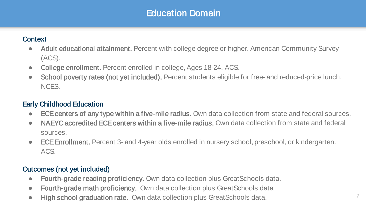### Education Domain

#### **Context**

- Adult educational attainment. Percent with college degree or higher. American Community Survey (ACS).
- College enrollment. Percent enrolled in college, Ages 18-24. ACS.
- School poverty rates (not yet included). Percent students eligible for free- and reduced-price lunch. NCES.

#### Early Childhood Education

- ECE centers of any type within a five-mile radius. Own data collection from state and federal sources.
- NAEYC accredited ECE centers within a five-mile radius. Own data collection from state and federal sources.
- ECE Enrollment. Percent 3- and 4-year olds enrolled in nursery school, preschool, or kindergarten. ACS.

### Outcomes (not yet included)

- Fourth-grade reading proficiency. Own data collection plus GreatSchools data.
- Fourth-grade math proficiency. Own data collection plus GreatSchools data.
- High school graduation rate. Own data collection plus GreatSchools data. 7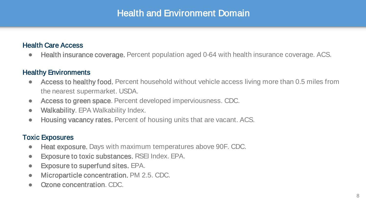### Health and Environment Domain

#### Health Care Access

● Health insurance coverage. Percent population aged 0-64 with health insurance coverage. ACS.

#### Healthy Environments

- Access to healthy food. Percent household without vehicle access living more than 0.5 miles from the nearest supermarket. USDA.
- Access to green space. Percent developed imperviousness. CDC.
- Walkability. EPA Walkability Index.
- Housing vacancy rates. Percent of housing units that are vacant. ACS.

#### Toxic Exposures

- Heat exposure. Days with maximum temperatures above 90F. CDC.
- Exposure to toxic substances. RSEI Index. EPA.
- Exposure to superfund sites. EPA.
- Microparticle concentration. PM 2.5. CDC.
- Ozone concentration. CDC.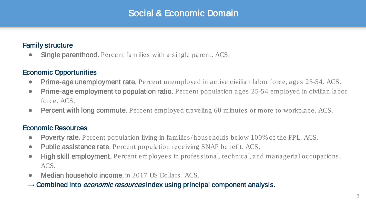### Social & Economic Domain

#### Family structure

**Single parenthood.** Percent families with a single parent. ACS.

#### Economic Opportunities

- Prime-age unemployment rate. Percent unemployed in active civilian labor force, ages 25-54. ACS.
- Prime-age employment to population ratio. Percent population ages 25-54 employed in civilian labor force. ACS.
- **Percent with long commute.** Percent employed traveling 60 minutes or more to workplace. ACS.

#### Economic Resources

- Poverty rate. Percent population living in families/households below 100% of the FPL. ACS.
- Public assistance rate. Percent population receiving SNAP benefit. ACS.
- High skill employment. Percent employees in professional, technical, and managerial occupations. ACS.
- Median household income, in 2017 US Dollars. ACS.
- → Combined into *economic resources* index using principal component analysis.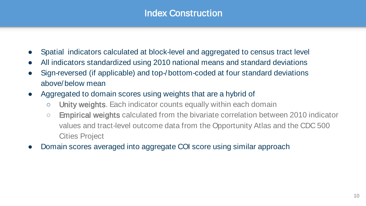### Index Construction

- Spatial indicators calculated at block-level and aggregated to census tract level
- All indicators standardized using 2010 national means and standard deviations
- Sign-reversed (if applicable) and top-/bottom-coded at four standard deviations above/below mean
- Aggregated to domain scores using weights that are a hybrid of
	- Unity weights. Each indicator counts equally within each domain
	- Empirical weights calculated from the bivariate correlation between 2010 indicator values and tract-level outcome data from the Opportunity Atlas and the CDC 500 Cities Project
- Domain scores averaged into aggregate COI score using similar approach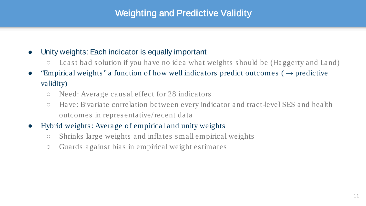### Weighting and Predictive Validity

#### ● Unity weights: Each indicator is equally important

- Least bad solution if you have no idea what weights should be (Haggerty and Land)
- "Empirical weights" a function of how well indicators predict outcomes ( $\rightarrow$  predictive validity)
	- Need: Average causal effect for 28 indicators
	- Have: Bivariate correlation between every indicator and tract-level SES and health outcomes in representative/ recent data
- Hybrid weights: Average of empirical and unity weights
	- Shrinks large weights and inflates small empirical weights
	- Guards against bias in empirical weight estimates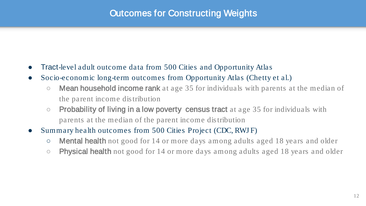### Outcomes for Constructing Weights

- Tract-level adult outcome data from 500 Cities and Opportunity Atlas
- Socio-economic long-term outcomes from Opportunity Atlas (Chetty et al.)
	- **Mean household income rank** at age 35 for individuals with parents at the median of the parent income distribution
	- $\circ$  Probability of living in a low poverty census tract at age 35 for individuals with parents at the median of the parent income distribution
- Summary health outcomes from 500 Cities Project (CDC, RWJ F)
	- **Mental health** not good for 14 or more days among adults aged 18 years and older
	- Physical health not good for 14 or more days among adults aged 18 years and older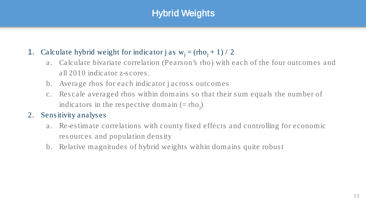### Hybrid Weights

### 1. Calculate hybrid weight for indicator j as  $w_i = (rho_i + 1) / 2$

- a. Calculate bivariate correlation (Pearson's rho) with each of the four outcomes and all 2010 indicator z-scores.
- b. Average rhos for each indicator j across outcomes
- c. Rescale averaged rhos within domains so that their sum equals the number of indicators in the respective domain  $(=rho_j)$

### 2. Sensitivity analyses

- a. Re-estimate correlations with county fixed effects and controlling for economic resources and population density
- b. Relative magnitudes of hybrid weights within domains quite robust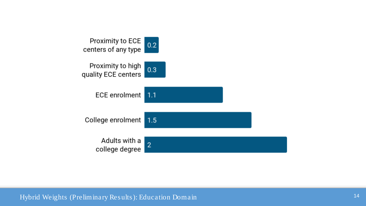

Hybrid Weights (Preliminary Results): Education Domain 14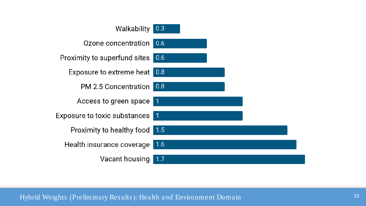

Hybrid Weights (Preliminary Results): Health and Environment Domain <sup>15</sup>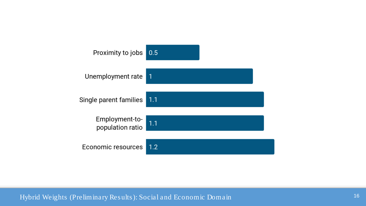

Hybrid Weights (Preliminary Results): Social and Economic Domain <sup>16</sup>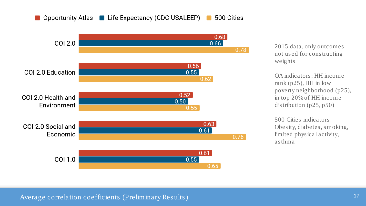#### Opportunity Atlas Life Expectancy (CDC USALEEP) 500 Cities



2015 data, only outcomes not us ed for cons tructing weights

OA indicators : HH income rank (p25), HH in low poverty neighborhood (p25), in top 20% of HH income dis tribution (p25, p50)

500 Cities indicators : Obes ity, diabetes , s moking, limited phys ical activity, asthma

Average correlation coefficients (Preliminary Results) 17 and 17 and 17 and 17 and 17 and 17 and 17 and 17 and 17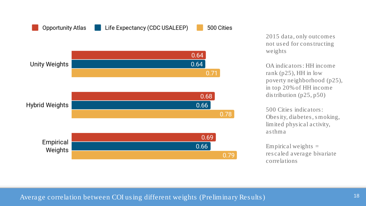

2015 data, only outcomes not us ed for cons tructing weights

OA indicators : HH income rank (p25), HH in low poverty neighborhood (p25), in top 20% of HH income dis tribution (p25, p50)

500 Cities indicators : Obes ity, diabetes , s moking, limited phys ical activity, asthma

Empirical weights  $=$ res caled average bivariate correlations

#### Average correlation between COI using different weights (Preliminary Results) 18